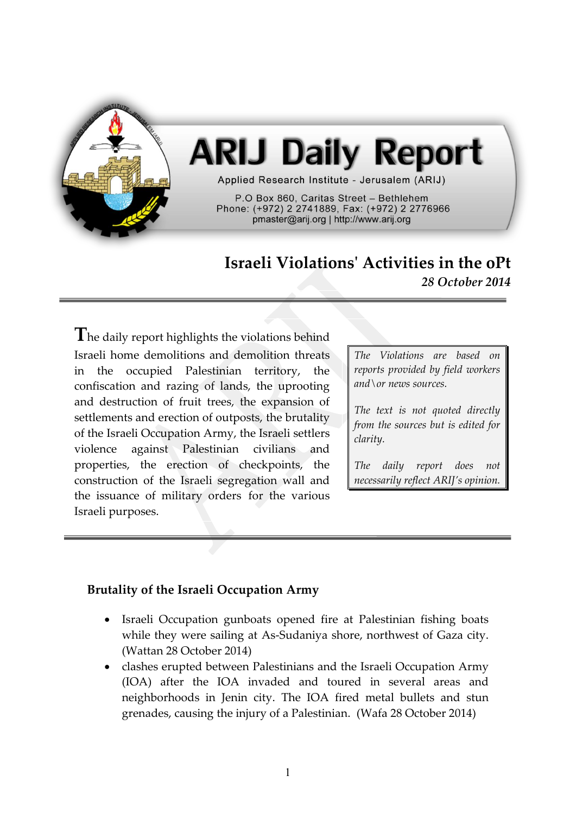

# **ARIJ Daily Report**

Applied Research Institute - Jerusalem (ARIJ)

P.O Box 860. Caritas Street - Bethlehem Phone: (+972) 2 2741889, Fax: (+972) 2 2776966 pmaster@arij.org | http://www.arij.org

# **Israeli Violations' Activities in the oPt** *28 October 2014*

The daily report highlights the violations behind Israeli home demolitions and demolition threats in the occupied Palestinian territory, the confiscation and razing of lands, the uprooting and destruction of fruit trees, the expansion of settlements and erection of outposts, the brutality of the Israeli Occupation Army, the Israeli settlers violence against Palestinian civilians and properties, the erection of checkpoints, the construction of the Israeli segregation wall and the issuance of military orders for the various Israeli purposes.

*The Violations are based on reports provided by field workers and\or news sources.*

*The text is not quoted directly from the sources but is edited for clarity.*

*The daily report does not necessarily reflect ARIJ's opinion.*

## **Brutality of the Israeli Occupation Army**

- Israeli Occupation gunboats opened fire at Palestinian fishing boats while they were sailing at As-Sudaniya shore, northwest of Gaza city. (Wattan 28 October 2014)
- clashes erupted between Palestinians and the Israeli Occupation Army (IOA) after the IOA invaded and toured in several areas and neighborhoods in Jenin city. The IOA fired metal bullets and stun grenades, causing the injury of a Palestinian. (Wafa 28 October 2014)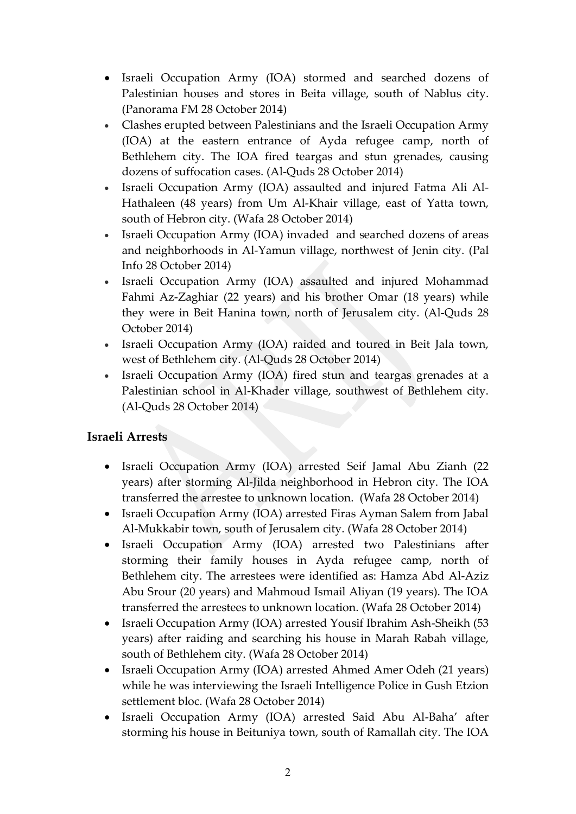- Israeli Occupation Army (IOA) stormed and searched dozens of Palestinian houses and stores in Beita village, south of Nablus city. (Panorama FM 28 October 2014)
- Clashes erupted between Palestinians and the Israeli Occupation Army (IOA) at the eastern entrance of Ayda refugee camp, north of Bethlehem city. The IOA fired teargas and stun grenades, causing dozens of suffocation cases. (Al-Quds 28 October 2014)
- Israeli Occupation Army (IOA) assaulted and injured Fatma Ali Al-Hathaleen (48 years) from Um Al-Khair village, east of Yatta town, south of Hebron city. (Wafa 28 October 2014)
- Israeli Occupation Army (IOA) invaded and searched dozens of areas and neighborhoods in Al-Yamun village, northwest of Jenin city. (Pal Info 28 October 2014)
- Israeli Occupation Army (IOA) assaulted and injured Mohammad Fahmi Az-Zaghiar (22 years) and his brother Omar (18 years) while they were in Beit Hanina town, north of Jerusalem city. (Al-Quds 28 October 2014)
- Israeli Occupation Army (IOA) raided and toured in Beit Jala town, west of Bethlehem city. (Al-Quds 28 October 2014)
- Israeli Occupation Army (IOA) fired stun and teargas grenades at a Palestinian school in Al-Khader village, southwest of Bethlehem city. (Al-Quds 28 October 2014)

## **Israeli Arrests**

- Israeli Occupation Army (IOA) arrested Seif Jamal Abu Zianh (22 years) after storming Al-Jilda neighborhood in Hebron city. The IOA transferred the arrestee to unknown location. (Wafa 28 October 2014)
- Israeli Occupation Army (IOA) arrested Firas Ayman Salem from Jabal Al-Mukkabir town, south of Jerusalem city. (Wafa 28 October 2014)
- Israeli Occupation Army (IOA) arrested two Palestinians after storming their family houses in Ayda refugee camp, north of Bethlehem city. The arrestees were identified as: Hamza Abd Al-Aziz Abu Srour (20 years) and Mahmoud Ismail Aliyan (19 years). The IOA transferred the arrestees to unknown location. (Wafa 28 October 2014)
- Israeli Occupation Army (IOA) arrested Yousif Ibrahim Ash-Sheikh (53 years) after raiding and searching his house in Marah Rabah village, south of Bethlehem city. (Wafa 28 October 2014)
- Israeli Occupation Army (IOA) arrested Ahmed Amer Odeh (21 years) while he was interviewing the Israeli Intelligence Police in Gush Etzion settlement bloc. (Wafa 28 October 2014)
- Israeli Occupation Army (IOA) arrested Said Abu Al-Baha' after storming his house in Beituniya town, south of Ramallah city. The IOA